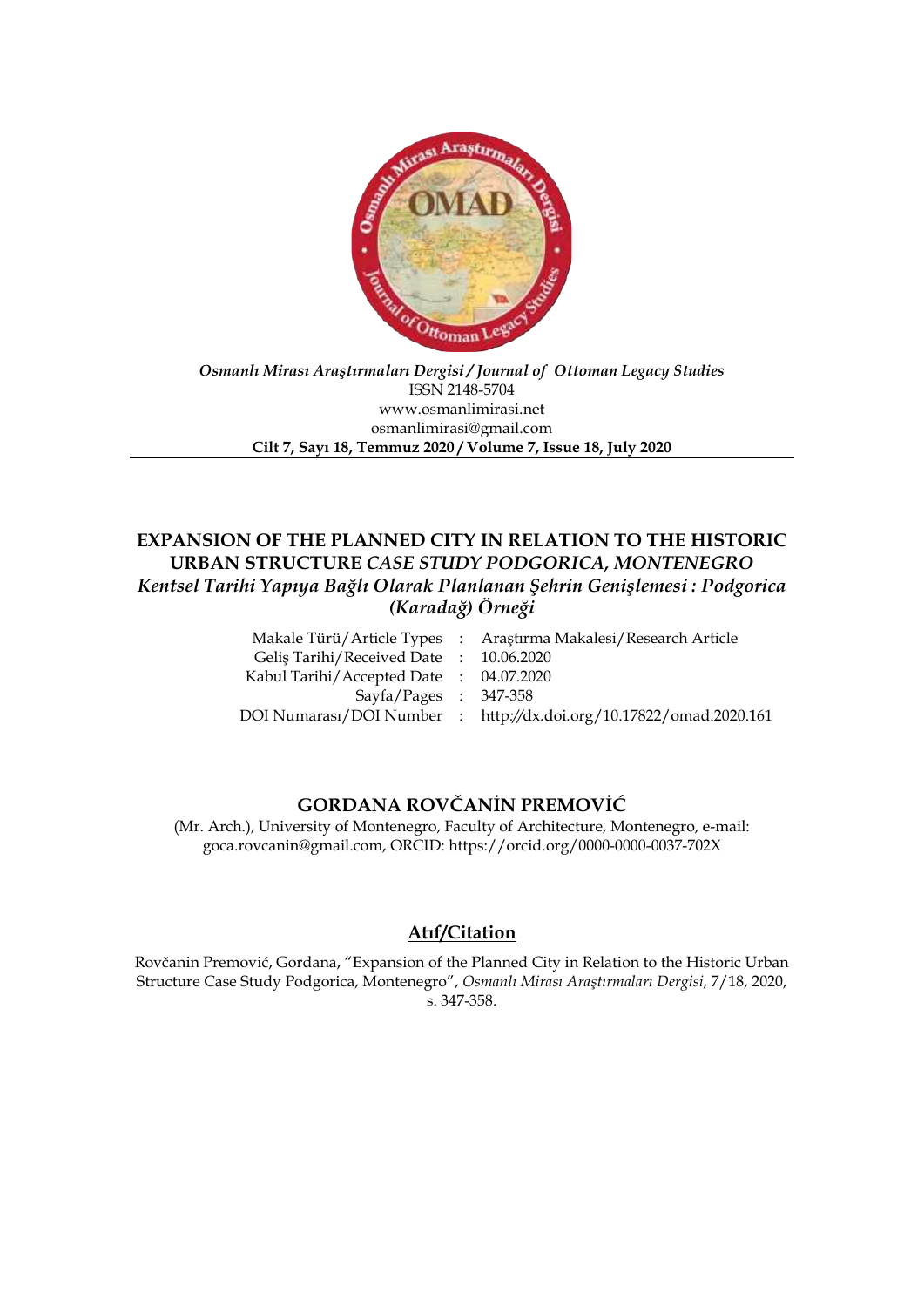

#### *Osmanlı Mirası Araştırmaları Dergisi / Journal of Ottoman Legacy Studies* ISSN 2148-5704 www.osmanlimirasi.net osmanlimirasi@gmail.com **Cilt 7, Sayı 18, Temmuz 2020 / Volume 7, Issue 18, July 2020**

## **EXPANSION OF THE PLANNED CITY IN RELATION TO THE HISTORIC URBAN STRUCTURE** *CASE STUDY PODGORICA, MONTENEGRO Kentsel Tarihi Yapıya Bağlı Olarak Planlanan Şehrin Genişlemesi : Podgorica (Karadağ) Örneği*

|                                        | Makale Türü/Article Types : Araştırma Makalesi/Research Article    |
|----------------------------------------|--------------------------------------------------------------------|
| Gelis Tarihi/Received Date: 10.06.2020 |                                                                    |
| Kabul Tarihi/Accepted Date: 04.07.2020 |                                                                    |
| $Sayfa/Pages : 347-358$                |                                                                    |
|                                        | DOI Numarası/DOI Number : http://dx.doi.org/10.17822/omad.2020.161 |
|                                        |                                                                    |

# **GORDANA ROVČANİN PREMOVİĆ**

(Mr. Arch.), University of Montenegro, Faculty of Architecture, Montenegro, e-mail: goca.rovcanin@gmail.com, ORCID: https://orcid.org/0000-0000-0037-702X

# **Atıf/Citation**

Rovčanin Premović, Gordana, "Expansion of the Planned City in Relation to the Historic Urban Structure Case Study Podgorica, Montenegro", *Osmanlı Mirası Araştırmaları Dergisi*, 7/18, 2020, s. 347-358.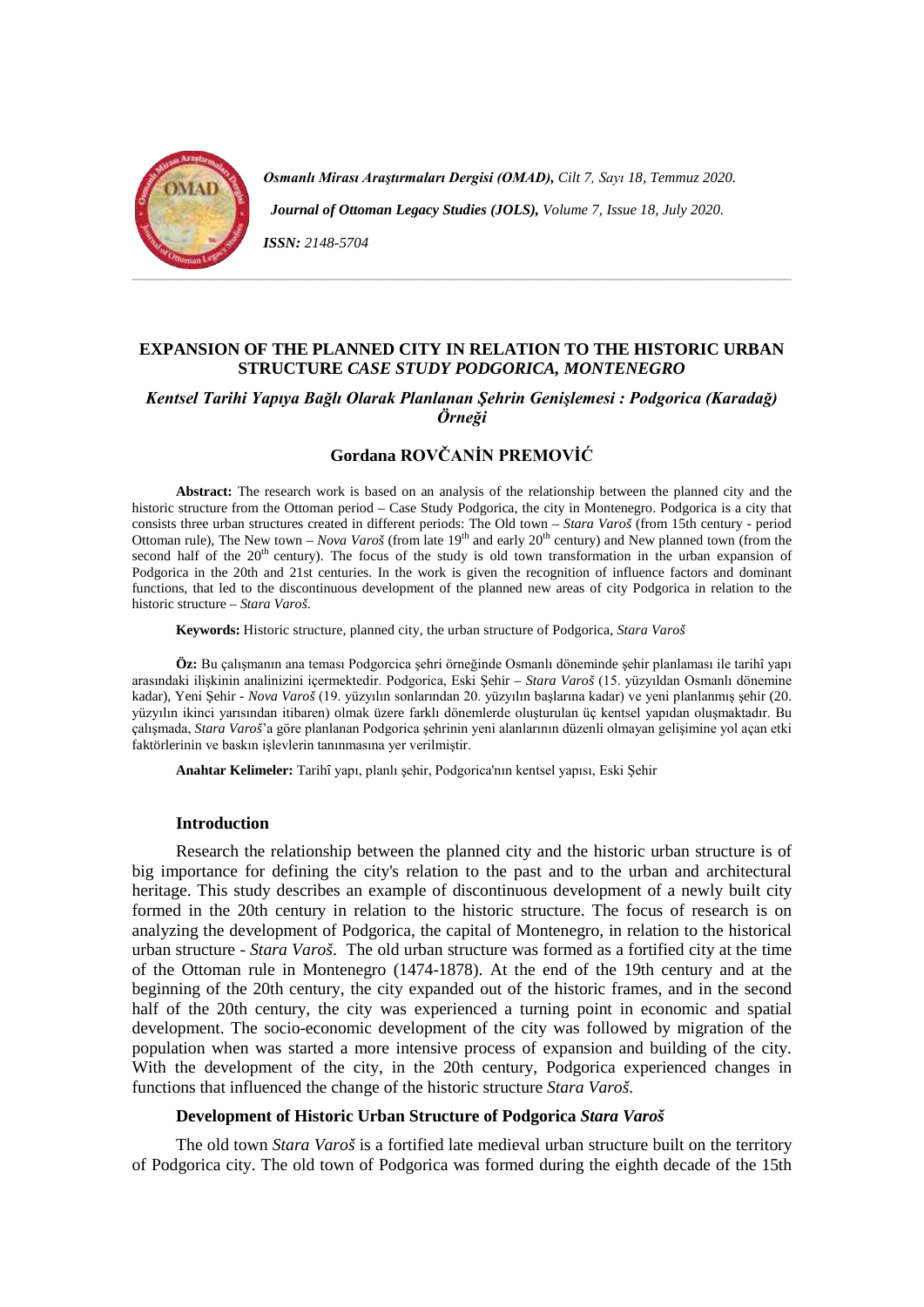

*Osmanlı Mirası Araştırmaları Dergisi (OMAD), Cilt 7, Sayı 18, Temmuz 2020.* 

 *Journal of Ottoman Legacy Studies (JOLS), Volume 7, Issue 18, July 2020.* 

*ISSN: 2148-5704*

## **EXPANSION OF THE PLANNED CITY IN RELATION TO THE HISTORIC URBAN STRUCTURE** *CASE STUDY PODGORICA, MONTENEGRO*

## *Kentsel Tarihi Yapıya Bağlı Olarak Planlanan Şehrin Genişlemesi : Podgorica (Karadağ) Örneği*

## **Gordana ROVČANİN PREMOVİĆ**

**Abstract:** The research work is based on an analysis of the relationship between the planned city and the historic structure from the Ottoman period – Case Study Podgorica, the city in Montenegro. Podgorica is a city that consists three urban structures created in different periods: The Old town – *Stara Varoš* (from 15th century - period Ottoman rule), The New town – *Nova Varoš* (from late 19<sup>th</sup> and early 20<sup>th</sup> century) and New planned town (from the second half of the 20<sup>th</sup> century). The focus of the study is old town transformation in the urban expansion of Podgorica in the 20th and 21st centuries. In the work is given the recognition of influence factors and dominant functions, that led to the discontinuous development of the planned new areas of city Podgorica in relation to the historic structure – *Stara Varoš*.

**Keywords:** Historic structure, planned city, the urban structure of Podgorica, *Stara Varoš*

**Öz:** Bu çalışmanın ana teması Podgorcica şehri örneğinde Osmanlı döneminde şehir planlaması ile tarihî yapı arasındaki ilişkinin analinizini içermektedir. Podgorica, Eski Şehir – *Stara Varoš* (15. yüzyıldan Osmanlı dönemine kadar), Yeni Şehir - *Nova Varoš* (19. yüzyılın sonlarından 20. yüzyılın başlarına kadar) ve yeni planlanmış şehir (20. yüzyılın ikinci yarısından itibaren) olmak üzere farklı dönemlerde oluşturulan üç kentsel yapıdan oluşmaktadır. Bu çalışmada, *Stara Varoš*'a göre planlanan Podgorica şehrinin yeni alanlarının düzenli olmayan gelişimine yol açan etki faktörlerinin ve baskın işlevlerin tanınmasına yer verilmiştir.

**Anahtar Kelimeler:** Tarihî yapı, planlı şehir, Podgorica'nın kentsel yapısı, Eski Şehir

#### **Introduction**

Research the relationship between the planned city and the historic urban structure is of big importance for defining the city's relation to the past and to the urban and architectural heritage. This study describes an example of discontinuous development of a newly built city formed in the 20th century in relation to the historic structure. The focus of research is on analyzing the development of Podgorica, the capital of Montenegro, in relation to the historical urban structure - *Stara Varoš*. The old urban structure was formed as a fortified city at the time of the Ottoman rule in Montenegro (1474-1878). At the end of the 19th century and at the beginning of the 20th century, the city expanded out of the historic frames, and in the second half of the 20th century, the city was experienced a turning point in economic and spatial development. The socio-economic development of the city was followed by migration of the population when was started a more intensive process of expansion and building of the city. With the development of the city, in the 20th century, Podgorica experienced changes in functions that influenced the change of the historic structure *Stara Varoš*.

#### **Development of Historic Urban Structure of Podgorica** *Stara Varoš*

The old town *Stara Varoš* is a fortified late medieval urban structure built on the territory of Podgorica city. The old town of Podgorica was formed during the eighth decade of the 15th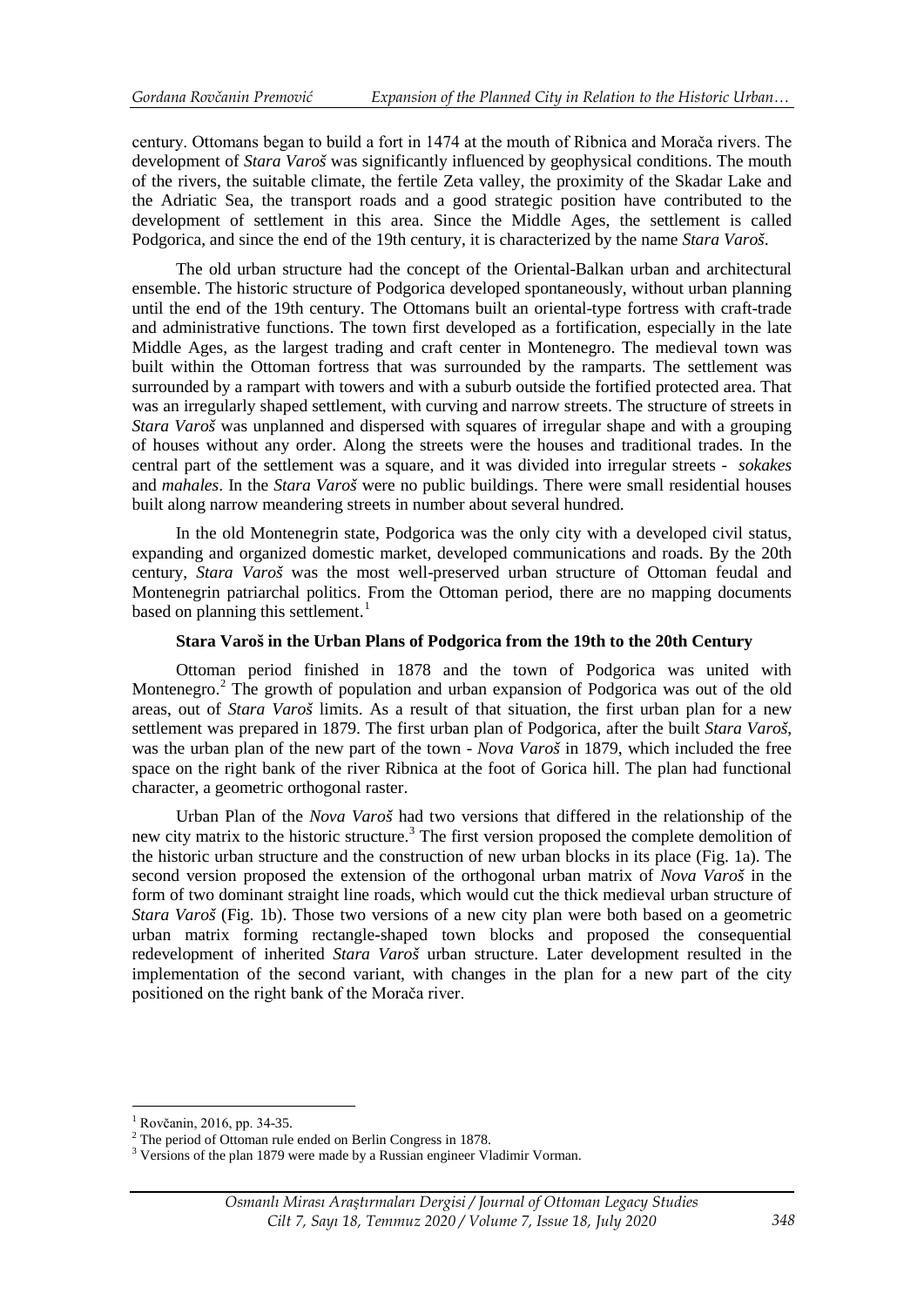century. Ottomans began to build a fort in 1474 at the mouth of Ribnica and Morača rivers. The development of *Stara Varoš* was significantly influenced by geophysical conditions. The mouth of the rivers, the suitable climate, the fertile Zeta valley, the proximity of the Skadar Lake and the Adriatic Sea, the transport roads and a good strategic position have contributed to the development of settlement in this area. Since the Middle Ages, the settlement is called Podgorica, and since the end of the 19th century, it is characterized by the name *Stara Varoš*.

The old urban structure had the concept of the Oriental-Balkan urban and architectural ensemble. The historic structure of Podgorica developed spontaneously, without urban planning until the end of the 19th century. The Ottomans built an oriental-type fortress with craft-trade and administrative functions. The town first developed as a fortification, especially in the late Middle Ages, as the largest trading and craft center in Montenegro. The medieval town was built within the Ottoman fortress that was surrounded by the ramparts. The settlement was surrounded by a rampart with towers and with a suburb outside the fortified protected area. That was an irregularly shaped settlement, with curving and narrow streets. The structure of streets in *Stara Varoš* was unplanned and dispersed with squares of irregular shape and with a grouping of houses without any order. Along the streets were the houses and traditional trades. In the central part of the settlement was a square, and it was divided into irregular streets - *sokakes* and *mahales*. In the *Stara Varoš* were no public buildings. There were small residential houses built along narrow meandering streets in number about several hundred.

In the old Montenegrin state, Podgorica was the only city with a developed civil status, expanding and organized domestic market, developed communications and roads. By the 20th century, *Stara Varoš* was the most well-preserved urban structure of Ottoman feudal and Montenegrin patriarchal politics. From the Ottoman period, there are no mapping documents based on planning this settlement.<sup>[1](#page-3-0)</sup>

#### **Stara Varoš in the Urban Plans of Podgorica from the 19th to the 20th Century**

Ottoman period finished in 1878 and the town of Podgorica was united with Montenegro.<sup>[2](#page-3-1)</sup> The growth of population and urban expansion of Podgorica was out of the old areas, out of *Stara Varoš* limits. As a result of that situation, the first urban plan for a new settlement was prepared in 1879. The first urban plan of Podgorica, after the built *Stara Varoš*, was the urban plan of the new part of the town - *Nova Varoš* in 1879, which included the free space on the right bank of the river Ribnica at the foot of Gorica hill. The plan had functional character, a geometric orthogonal raster.

Urban Plan of the *Nova Varoš* had two versions that differed in the relationship of the new city matrix to the historic structure.<sup>[3](#page-3-2)</sup> The first version proposed the complete demolition of the historic urban structure and the construction of new urban blocks in its place (Fig. 1a). The second version proposed the extension of the orthogonal urban matrix of *Nova Varoš* in the form of two dominant straight line roads, which would cut the thick medieval urban structure of *Stara Varoš* (Fig. 1b). Those two versions of a new city plan were both based on a geometric urban matrix forming rectangle**-**shaped town blocks and proposed the consequential redevelopment of inherited *Stara Varoš* urban structure. Later development resulted in the implementation of the second variant, with changes in the plan for a new part of the city positioned on the right bank of the Morača river.

<u>.</u>

<span id="page-3-1"></span><span id="page-3-0"></span>

<span id="page-3-2"></span>

<sup>&</sup>lt;sup>1</sup> Rovčanin, 2016, pp. 34-35.<br><sup>2</sup> The period of Ottoman rule ended on Berlin Congress in 1878.<br><sup>3</sup> Versions of the plan 1879 were made by a Russian engineer Vladimir Vorman.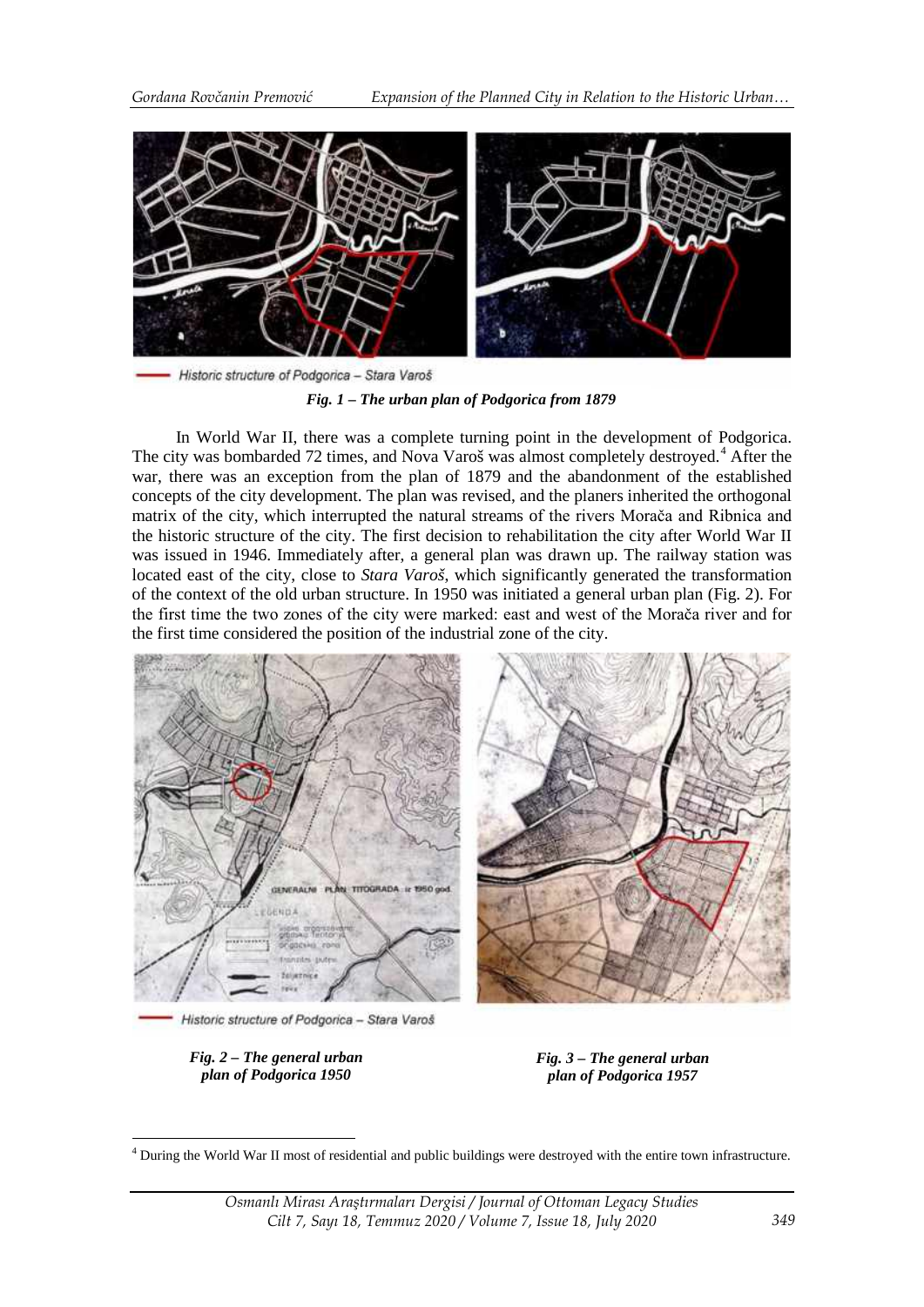



In World War II, there was a complete turning point in the development of Podgorica. The city was bombarded 72 times, and Nova Varoš was almost completely destroyed.<sup>[4](#page-4-0)</sup> After the war, there was an exception from the plan of 1879 and the abandonment of the established concepts of the city development. The plan was revised, and the planers inherited the orthogonal matrix of the city, which interrupted the natural streams of the rivers Morača and Ribnica and the historic structure of the city. The first decision to rehabilitation the city after World War II was issued in 1946. Immediately after, a general plan was drawn up. The railway station was located east of the city, close to *Stara Varoš*, which significantly generated the transformation of the context of the old urban structure. In 1950 was initiated a general urban plan (Fig. 2). For the first time the two zones of the city were marked: east and west of the Morača river and for the first time considered the position of the industrial zone of the city.



Historic structure of Podgorica - Stara Varoš

*Fig. 2 – The general urban plan of Podgorica 1950*

*Fig. 3 – The general urban plan of Podgorica 1957*

<span id="page-4-0"></span><sup>&</sup>lt;sup>4</sup> During the World War II most of residential and public buildings were destroyed with the entire town infrastructure. -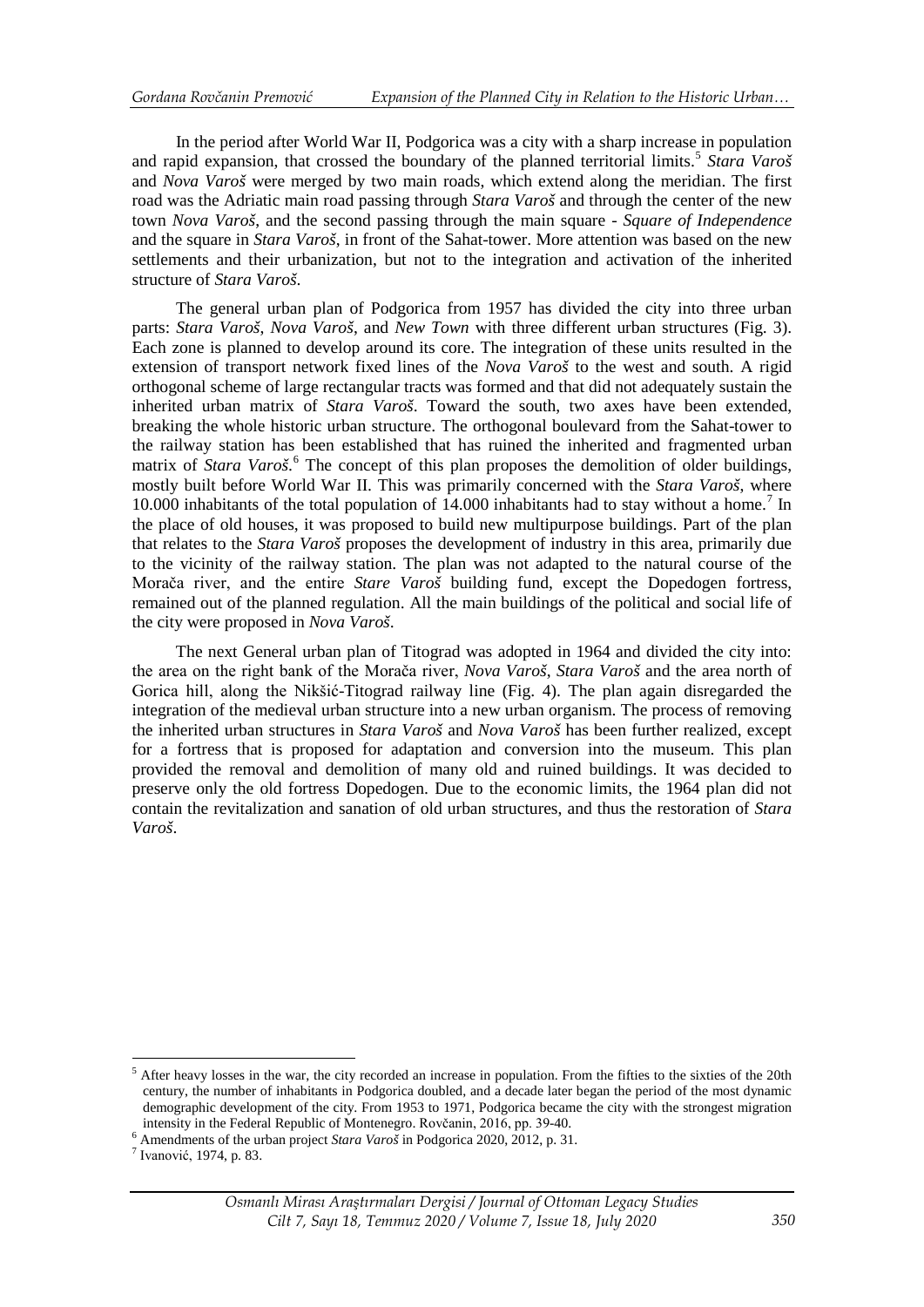In the period after World War II, Podgorica was a city with a sharp increase in population and rapid expansion, that crossed the boundary of the planned territorial limits.<sup>[5](#page-5-0)</sup> *Stara Varoš* and *Nova Varoš* were merged by two main roads, which extend along the meridian. The first road was the Adriatic main road passing through *Stara Varoš* and through the center of the new town *Nova Varoš*, and the second passing through the main square - *Square of Independence*  and the square in *Stara Varoš*, in front of the Sahat-tower. More attention was based on the new settlements and their urbanization, but not to the integration and activation of the inherited structure of *Stara Varoš*.

The general urban plan of Podgorica from 1957 has divided the city into three urban parts: *Stara Varoš*, *Nova Varoš*, and *New Town* with three different urban structures (Fig. 3). Each zone is planned to develop around its core. The integration of these units resulted in the extension of transport network fixed lines of the *Nova Varoš* to the west and south. A rigid orthogonal scheme of large rectangular tracts was formed and that did not adequately sustain the inherited urban matrix of *Stara Varoš*. Toward the south, two axes have been extended, breaking the whole historic urban structure. The orthogonal boulevard from the Sahat-tower to the railway station has been established that has ruined the inherited and fragmented urban matrix of *Stara Varoš*. [6](#page-5-1) The concept of this plan proposes the demolition of older buildings, mostly built before World War II. This was primarily concerned with the *Stara Varoš*, where 10.000 inhabitants of the total population of  $14.000$  inhabitants had to stay without a home.<sup>[7](#page-5-2)</sup> In the place of old houses, it was proposed to build new multipurpose buildings. Part of the plan that relates to the *Stara Varoš* proposes the development of industry in this area, primarily due to the vicinity of the railway station. The plan was not adapted to the natural course of the Morača river, and the entire *Stare Varoš* building fund, except the Dopedogen fortress, remained out of the planned regulation. All the main buildings of the political and social life of the city were proposed in *Nova Varoš*.

The next General urban plan of Titograd was adopted in 1964 and divided the city into: the area on the right bank of the Morača river, *Nova Varoš*, *Stara Varoš* and the area north of Gorica hill, along the Nikšić-Titograd railway line (Fig. 4). The plan again disregarded the integration of the medieval urban structure into a new urban organism. The process of removing the inherited urban structures in *Stara Varoš* and *Nova Varoš* has been further realized, except for a fortress that is proposed for adaptation and conversion into the museum. This plan provided the removal and demolition of many old and ruined buildings. It was decided to preserve only the old fortress Dopedogen. Due to the economic limits, the 1964 plan did not contain the revitalization and sanation of old urban structures, and thus the restoration of *Stara Varoš*.

-

<span id="page-5-0"></span> $<sup>5</sup>$  After heavy losses in the war, the city recorded an increase in population. From the fifties to the sixties of the 20th</sup> century, the number of inhabitants in Podgorica doubled, and a decade later began the period of the most dynamic demographic development of the city. From 1953 to 1971, Podgorica became the city with the strongest migration

<span id="page-5-1"></span>intensity in the Federal Republic of Montenegro. Rovčanin, 2016, pp. 39-40. <sup>6</sup> Amendments of the urban project *Stara Varoš* in Podgorica 2020, 2012, p. 31. <sup>7</sup> Ivanović, 1974, p. 83.

<span id="page-5-2"></span>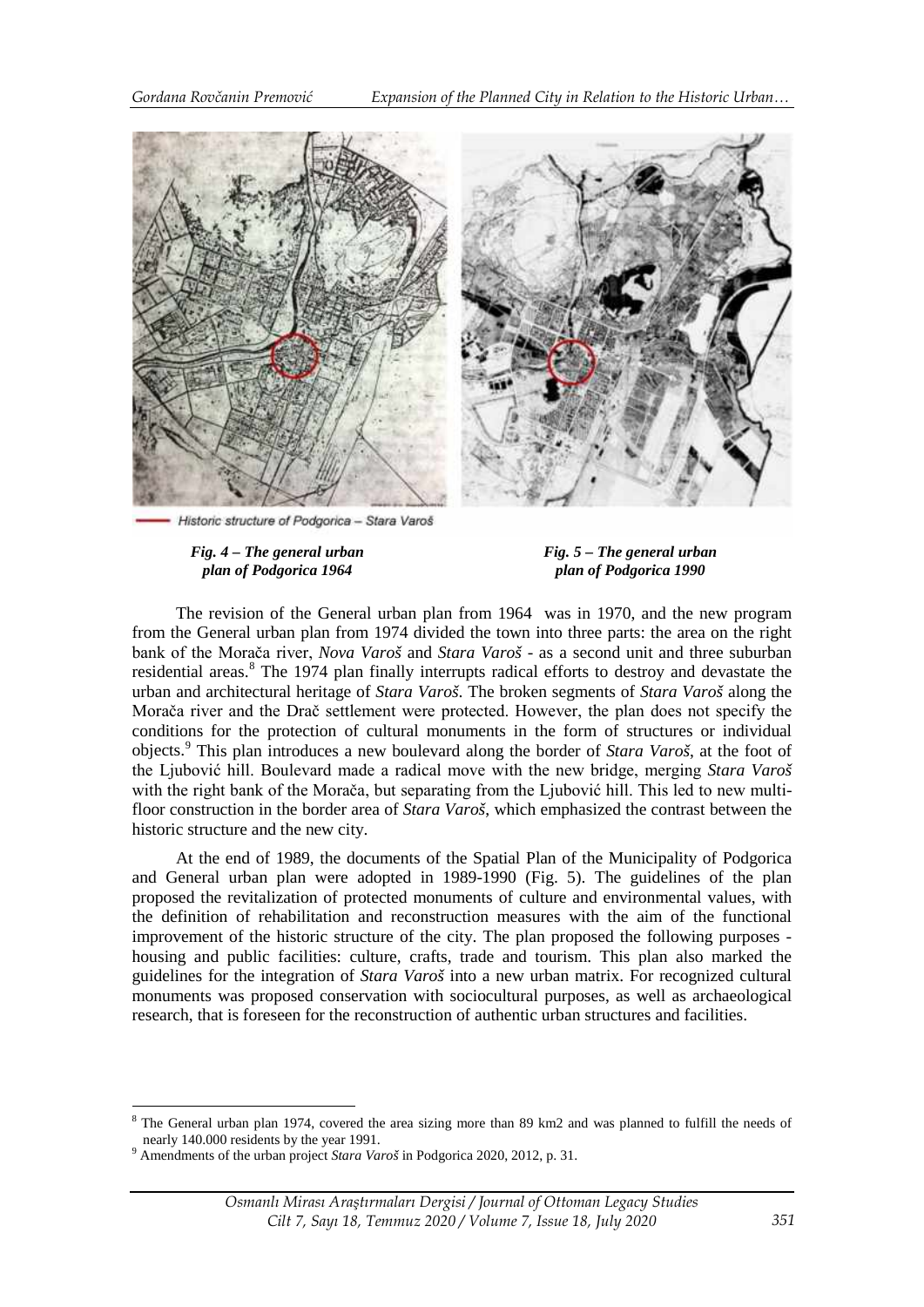

Historic structure of Podgorica - Stara Varoš

*Fig. 4 – The general urban plan of Podgorica 1964*

*Fig. 5 – The general urban plan of Podgorica 1990*

The revision of the General urban plan from 1964 was in 1970, and the new program from the General urban plan from 1974 divided the town into three parts: the area on the right bank of the Morača river, *Nova Varoš* and *Stara Varoš* - as a second unit and three suburban residential areas.<sup>[8](#page-6-0)</sup> The 1974 plan finally interrupts radical efforts to destroy and devastate the urban and architectural heritage of *Stara Varoš*. The broken segments of *Stara Varoš* along the Morača river and the Drač settlement were protected. However, the plan does not specify the conditions for the protection of cultural monuments in the form of structures or individual objects.[9](#page-6-1) This plan introduces a new boulevard along the border of *Stara Varoš*, at the foot of the Ljubović hill. Boulevard made a radical move with the new bridge, merging *Stara Varoš* with the right bank of the Morača, but separating from the Ljubović hill. This led to new multifloor construction in the border area of *Stara Varoš*, which emphasized the contrast between the historic structure and the new city.

At the end of 1989, the documents of the Spatial Plan of the Municipality of Podgorica and General urban plan were adopted in 1989-1990 (Fig. 5). The guidelines of the plan proposed the revitalization of protected monuments of culture and environmental values, with the definition of rehabilitation and reconstruction measures with the aim of the functional improvement of the historic structure of the city. The plan proposed the following purposes housing and public facilities: culture, crafts, trade and tourism. This plan also marked the guidelines for the integration of *Stara Varoš* into a new urban matrix. For recognized cultural monuments was proposed conservation with sociocultural purposes, as well as archaeological research, that is foreseen for the reconstruction of authentic urban structures and facilities.

<u>.</u>

<span id="page-6-0"></span><sup>&</sup>lt;sup>8</sup> The General urban plan 1974, covered the area sizing more than 89 km2 and was planned to fulfill the needs of nearly 140.000 residents by the year 1991. <sup>9</sup> Amendments of the urban project *Stara Varoš* in Podgorica 2020, 2012, p. 31.

<span id="page-6-1"></span>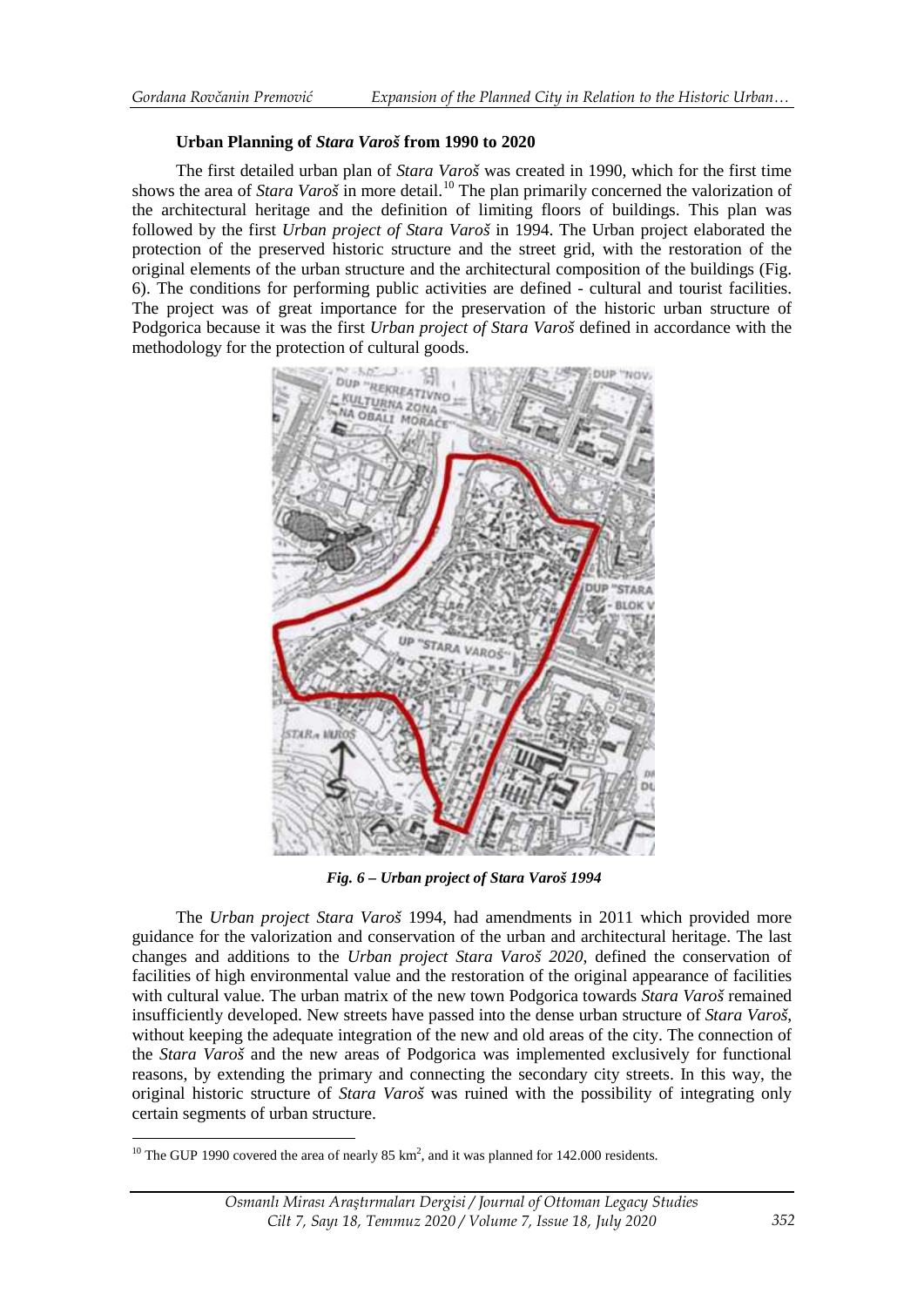### **Urban Planning of** *Stara Varoš* **from 1990 to 2020**

The first detailed urban plan of *Stara Varoš* was created in 1990, which for the first time shows the area of *Stara Varoš* in more detail.<sup>[10](#page-7-0)</sup> The plan primarily concerned the valorization of the architectural heritage and the definition of limiting floors of buildings. This plan was followed by the first *Urban project of Stara Varoš* in 1994. The Urban project elaborated the protection of the preserved historic structure and the street grid, with the restoration of the original elements of the urban structure and the architectural composition of the buildings (Fig. 6). The conditions for performing public activities are defined - cultural and tourist facilities. The project was of great importance for the preservation of the historic urban structure of Podgorica because it was the first *Urban project of Stara Varoš* defined in accordance with the methodology for the protection of cultural goods.



*Fig. 6 – Urban project of Stara Varoš 1994*

The *Urban project Stara Varoš* 1994, had amendments in 2011 which provided more guidance for the valorization and conservation of the urban and architectural heritage. The last changes and additions to the *Urban project Stara Varoš 2020*, defined the conservation of facilities of high environmental value and the restoration of the original appearance of facilities with cultural value. The urban matrix of the new town Podgorica towards *Stara Varoš* remained insufficiently developed. New streets have passed into the dense urban structure of *Stara Varoš*, without keeping the adequate integration of the new and old areas of the city. The connection of the *Stara Varoš* and the new areas of Podgorica was implemented exclusively for functional reasons, by extending the primary and connecting the secondary city streets. In this way, the original historic structure of *Stara Varoš* was ruined with the possibility of integrating only certain segments of urban structure.

-

<span id="page-7-0"></span><sup>&</sup>lt;sup>10</sup> The GUP 1990 covered the area of nearly 85 km<sup>2</sup>, and it was planned for 142.000 residents.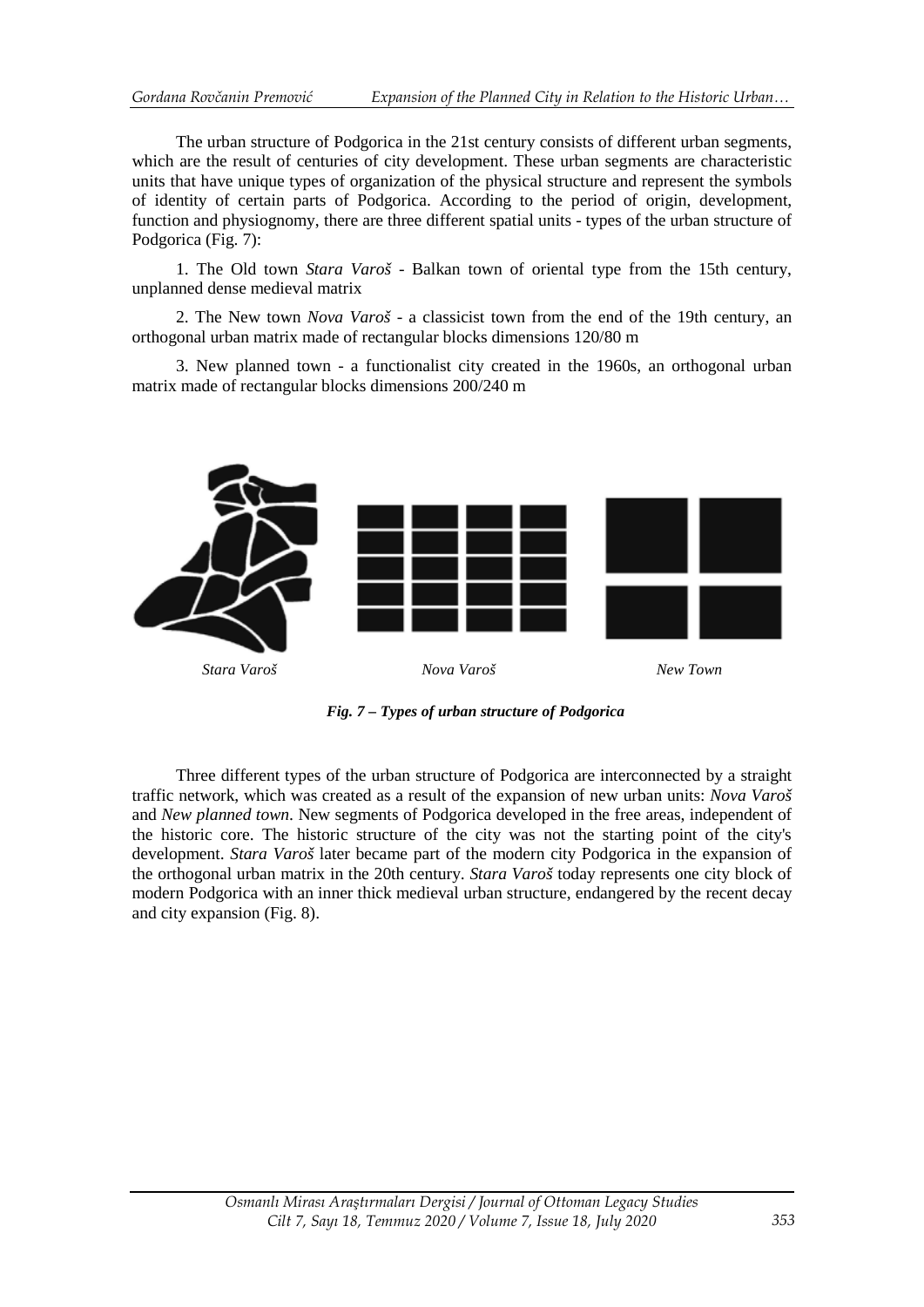The urban structure of Podgorica in the 21st century consists of different urban segments, which are the result of centuries of city development. These urban segments are characteristic units that have unique types of organization of the physical structure and represent the symbols of identity of certain parts of Podgorica. According to the period of origin, development, function and physiognomy, there are three different spatial units - types of the urban structure of Podgorica (Fig. 7):

1. The Old town *Stara Varoš* - Balkan town of oriental type from the 15th century, unplanned dense medieval matrix

2. The New town *Nova Varoš* - a classicist town from the end of the 19th century, an orthogonal urban matrix made of rectangular blocks dimensions 120/80 m

3. New planned town - a functionalist city created in the 1960s, an orthogonal urban matrix made of rectangular blocks dimensions 200/240 m



*Fig. 7 – Types of urban structure of Podgorica*

Three different types of the urban structure of Podgorica are interconnected by a straight traffic network, which was created as a result of the expansion of new urban units: *Nova Varoš* and *New planned town*. New segments of Podgorica developed in the free areas, independent of the historic core. The historic structure of the city was not the starting point of the city's development. *Stara Varoš* later became part of the modern city Podgorica in the expansion of the orthogonal urban matrix in the 20th century. *Stara Varoš* today represents one city block of modern Podgorica with an inner thick medieval urban structure, endangered by the recent decay and city expansion (Fig. 8).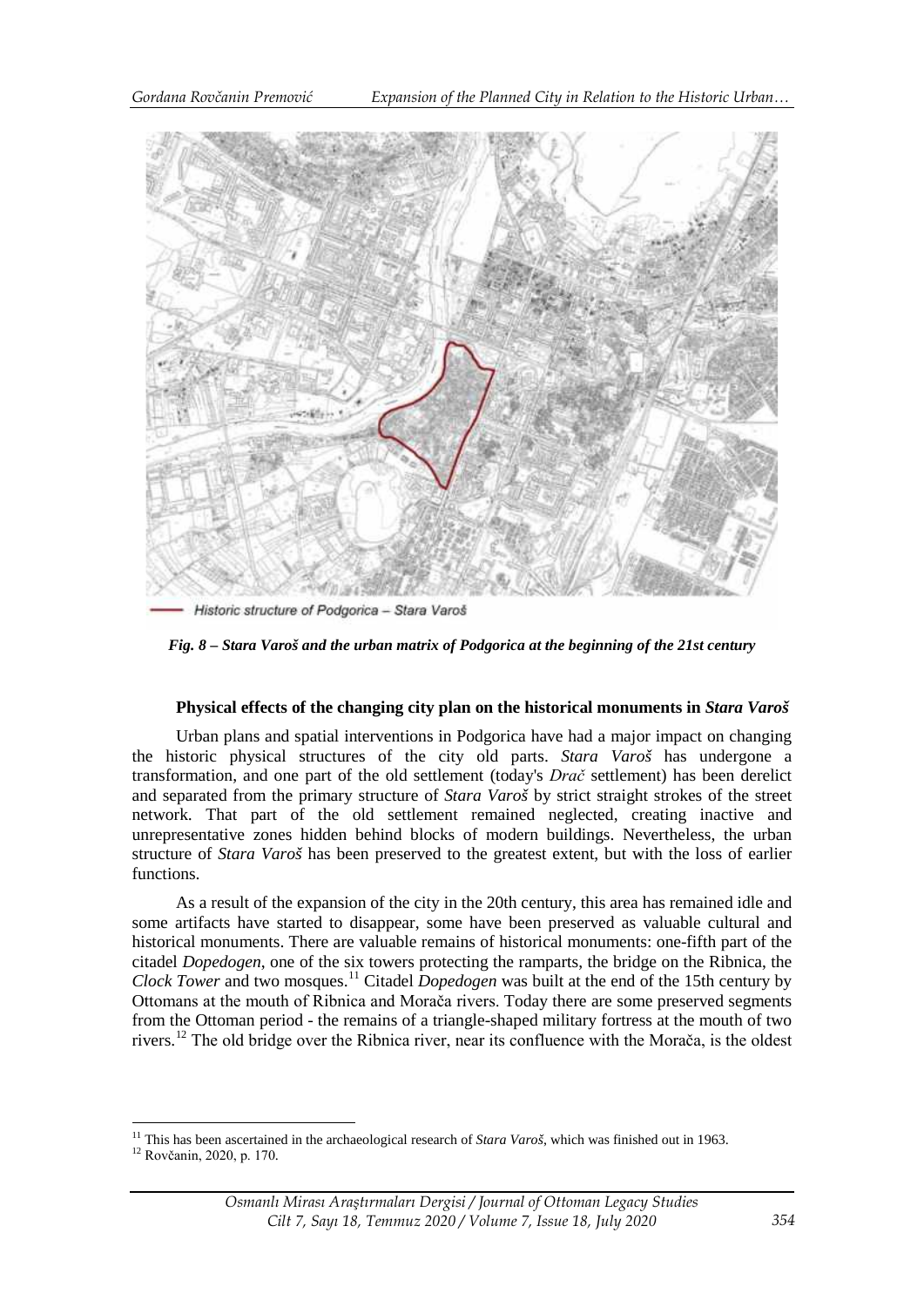

*Fig. 8 – Stara Varoš and the urban matrix of Podgorica at the beginning of the 21st century*

## **Physical effects of the changing city plan on the historical monuments in** *Stara Varoš*

Urban plans and spatial interventions in Podgorica have had a major impact on changing the historic physical structures of the city old parts. *Stara Varoš* has undergone a transformation, and one part of the old settlement (today's *Drač* settlement) has been derelict and separated from the primary structure of *Stara Varoš* by strict straight strokes of the street network. That part of the old settlement remained neglected, creating inactive and unrepresentative zones hidden behind blocks of modern buildings. Nevertheless, the urban structure of *Stara Varoš* has been preserved to the greatest extent, but with the loss of earlier functions.

As a result of the expansion of the city in the 20th century, this area has remained idle and some artifacts have started to disappear, some have been preserved as valuable cultural and historical monuments. There are valuable remains of historical monuments: one-fifth part of the citadel *Dopedogen*, one of the six towers protecting the ramparts, the bridge on the Ribnica, the *Clock Tower* and two mosques.<sup>[11](#page-9-0)</sup> Citadel *Dopedogen* was built at the end of the 15th century by Ottomans at the mouth of Ribnica and Morača rivers. Today there are some preserved segments from the Ottoman period - the remains of a triangle-shaped military fortress at the mouth of two rivers.[12](#page-9-1) The old bridge over the Ribnica river, near its confluence with the Morača, is the oldest

<span id="page-9-0"></span><sup>&</sup>lt;sup>11</sup> This has been ascertained in the archaeological research of *Stara Varoš*, which was finished out in 1963.<br><sup>12</sup> Rovčanin, 2020, p. 170. <u>.</u>

<span id="page-9-1"></span>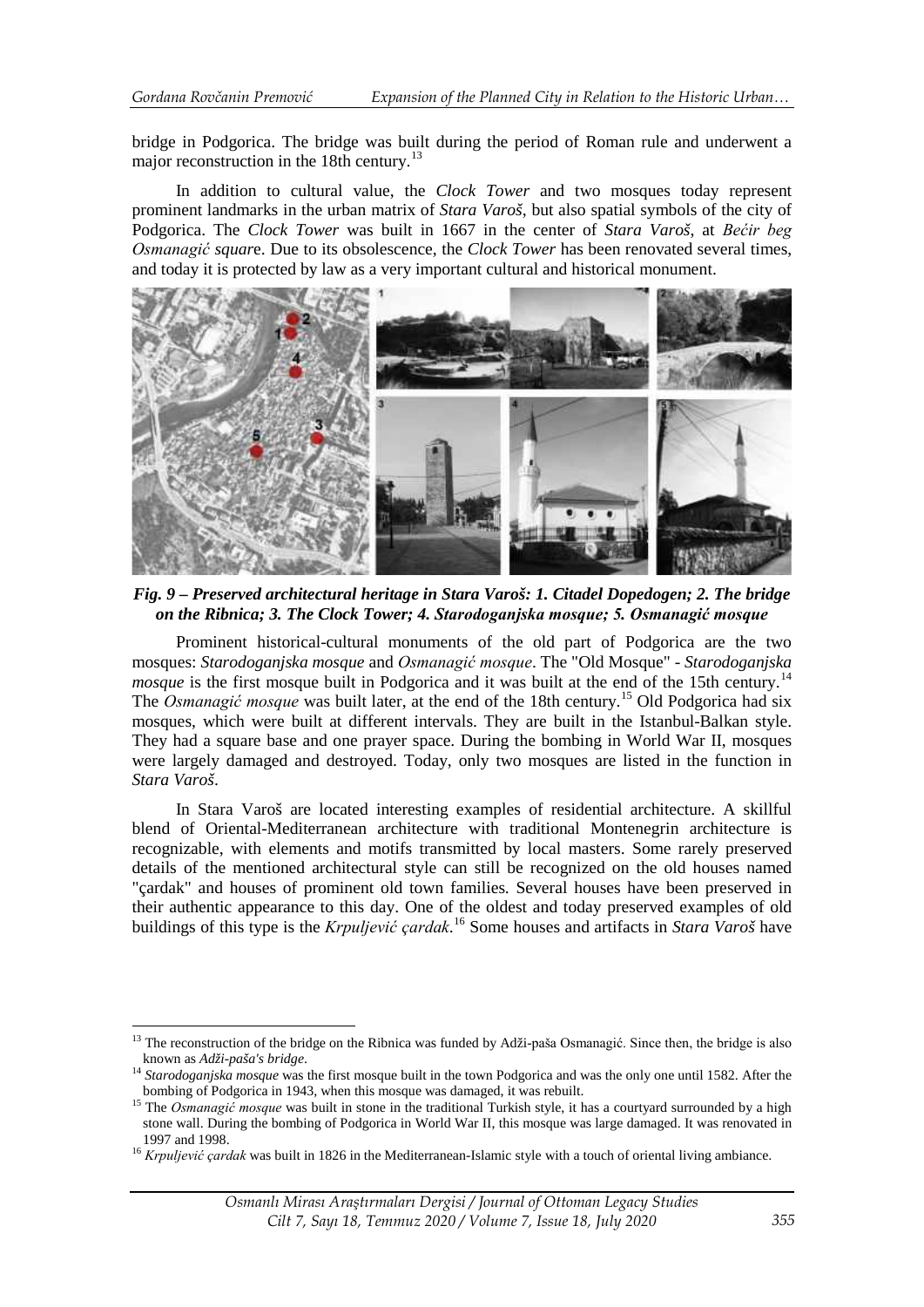bridge in Podgorica. The bridge was built during the period of Roman rule and underwent a major reconstruction in the 18th century.<sup>[13](#page-10-0)</sup>

In addition to cultural value, the *Clock Tower* and two mosques today represent prominent landmarks in the urban matrix of *Stara Varoš*, but also spatial symbols of the city of Podgorica. The *Clock Tower* was built in 1667 in the center of *Stara Varoš*, at *Bećir beg Osmanagić squar*e. Due to its obsolescence, the *Clock Tower* has been renovated several times, and today it is protected by law as a very important cultural and historical monument.



*Fig. 9 – Preserved architectural heritage in Stara Varoš: 1. Citadel Dopedogen; 2. The bridge on the Ribnica; 3. The Clock Tower; 4. Starodoganjska mosque; 5. Osmanagić mosque*

Prominent historical-cultural monuments of the old part of Podgorica are the two mosques: *Starodoganjska mosque* and *Osmanagić mosque*. The "Old Mosque" - *Starodoganjska mosque* is the first mosque built in Podgorica and it was built at the end of the 15th century.<sup>[14](#page-10-1)</sup> The *Osmanagić mosque* was built later, at the end of the 18th century.[15](#page-10-2) Old Podgorica had six mosques, which were built at different intervals. They are built in the Istanbul-Balkan style. They had a square base and one prayer space. During the bombing in World War II, mosques were largely damaged and destroyed. Today, only two mosques are listed in the function in *Stara Varoš*.

In Stara Varoš are located interesting examples of residential architecture. A skillful blend of Oriental-Mediterranean architecture with traditional Montenegrin architecture is recognizable, with elements and motifs transmitted by local masters. Some rarely preserved details of the mentioned architectural style can still be recognized on the old houses named "çardak" and houses of prominent old town families. Several houses have been preserved in their authentic appearance to this day. One of the oldest and today preserved examples of old buildings of this type is the *Krpuljević çardak*. [16](#page-10-3) Some houses and artifacts in *Stara Varoš* have

<span id="page-10-0"></span><sup>&</sup>lt;sup>13</sup> The reconstruction of the bridge on the Ribnica was funded by Adži-paša Osmanagić. Since then, the bridge is also known as  $Ad\check{z}i$ -paša's bridge. <u>.</u>

<span id="page-10-1"></span><sup>&</sup>lt;sup>14</sup> Starodoganjska mosque was the first mosque built in the town Podgorica and was the only one until 1582. After the bombing of Podgorica in 1943, when this mosque was damaged, it was rebuilt. <sup>15</sup> The *Osmanagić mosque* was built in stone in the traditional Turkish style, it has a courtyard surrounded by a high

<span id="page-10-2"></span>stone wall. During the bombing of Podgorica in World War II, this mosque was large damaged. It was renovated in

<span id="page-10-3"></span><sup>&</sup>lt;sup>16</sup> *Krpuljević çardak* was built in 1826 in the Mediterranean-Islamic style with a touch of oriental living ambiance.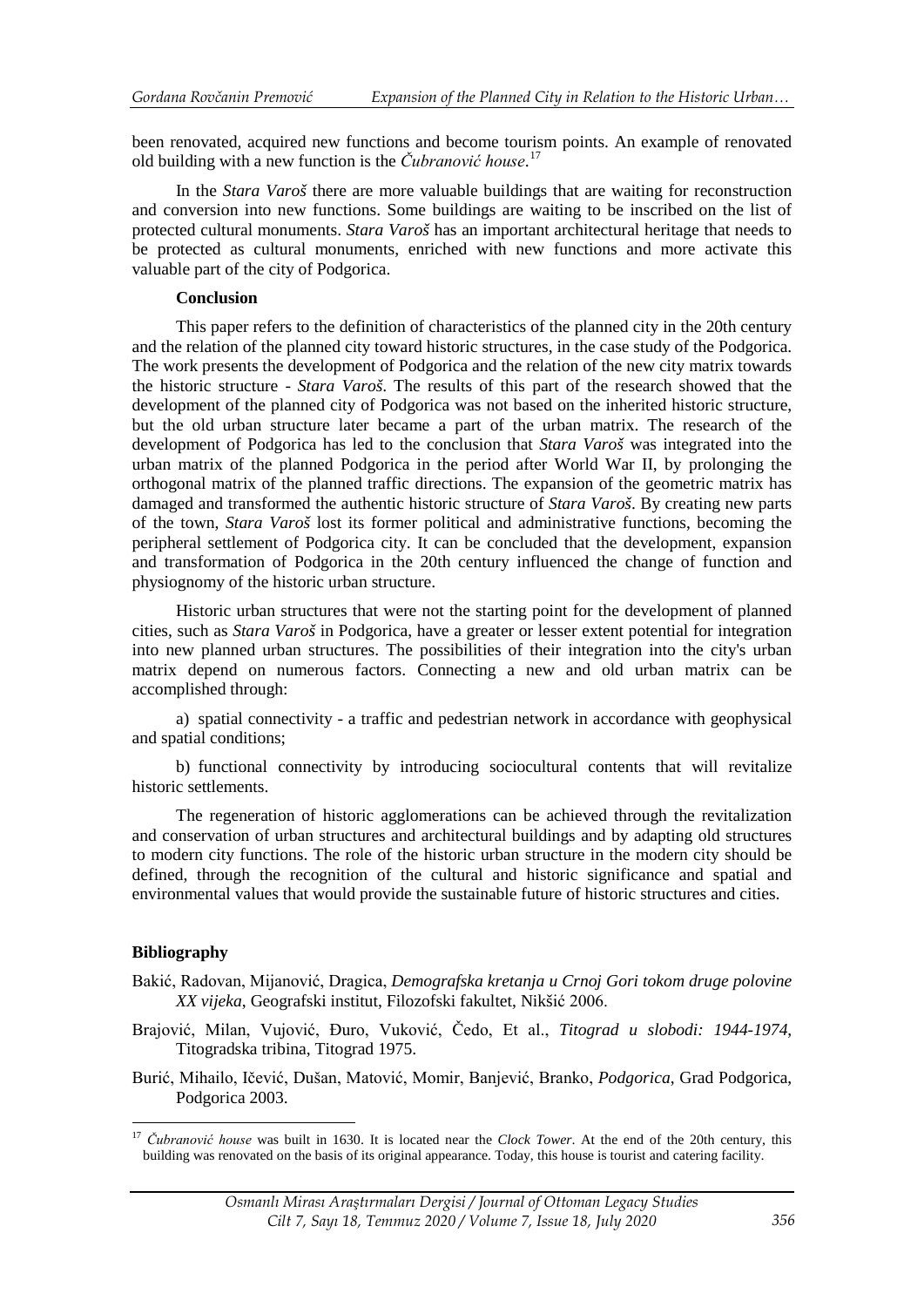been renovated, acquired new functions and become tourism points. An example of renovated old building with a new function is the *Čubranović house*. [17](#page-11-0)

In the *Stara Varoš* there are more valuable buildings that are waiting for reconstruction and conversion into new functions. Some buildings are waiting to be inscribed on the list of protected cultural monuments. *Stara Varoš* has an important architectural heritage that needs to be protected as cultural monuments, enriched with new functions and more activate this valuable part of the city of Podgorica.

## **Conclusion**

This paper refers to the definition of characteristics of the planned city in the 20th century and the relation of the planned city toward historic structures, in the case study of the Podgorica. The work presents the development of Podgorica and the relation of the new city matrix towards the historic structure - *Stara Varoš*. The results of this part of the research showed that the development of the planned city of Podgorica was not based on the inherited historic structure, but the old urban structure later became a part of the urban matrix. The research of the development of Podgorica has led to the conclusion that *Stara Varoš* was integrated into the urban matrix of the planned Podgorica in the period after World War II, by prolonging the orthogonal matrix of the planned traffic directions. The expansion of the geometric matrix has damaged and transformed the authentic historic structure of *Stara Varoš*. By creating new parts of the town, *Stara Varoš* lost its former political and administrative functions, becoming the peripheral settlement of Podgorica city. It can be concluded that the development, expansion and transformation of Podgorica in the 20th century influenced the change of function and physiognomy of the historic urban structure.

Historic urban structures that were not the starting point for the development of planned cities, such as *Stara Varoš* in Podgorica, have a greater or lesser extent potential for integration into new planned urban structures. The possibilities of their integration into the city's urban matrix depend on numerous factors. Connecting a new and old urban matrix can be accomplished through:

a) spatial connectivity - a traffic and pedestrian network in accordance with geophysical and spatial conditions;

b) functional connectivity by introducing sociocultural contents that will revitalize historic settlements.

The regeneration of historic agglomerations can be achieved through the revitalization and conservation of urban structures and architectural buildings and by adapting old structures to modern city functions. The role of the historic urban structure in the modern city should be defined, through the recognition of the cultural and historic significance and spatial and environmental values that would provide the sustainable future of historic structures and cities.

## **Bibliography**

<u>.</u>

- Bakić, Radovan, Mijanović, Dragica, *Demografska kretanja u Crnoj Gori tokom druge polovine XX vijeka*, Geografski institut, Filozofski fakultet, Nikšić 2006.
- Brajović, Milan, Vujović, Đuro, Vuković, Čedo, Et al., *Titograd u slobodi: 1944-1974*, Titogradska tribina, Titograd 1975.
- Burić, Mihailo, Ičević, Dušan, Matović, Momir, Banjević, Branko, *Podgorica*, Grad Podgorica, Podgorica 2003.

<span id="page-11-0"></span><sup>17</sup> *Čubranović house* was built in 1630. It is located near the *Clock Tower*. At the end of the 20th century, this building was renovated on the basis of its original appearance. Today, this house is tourist and catering facility.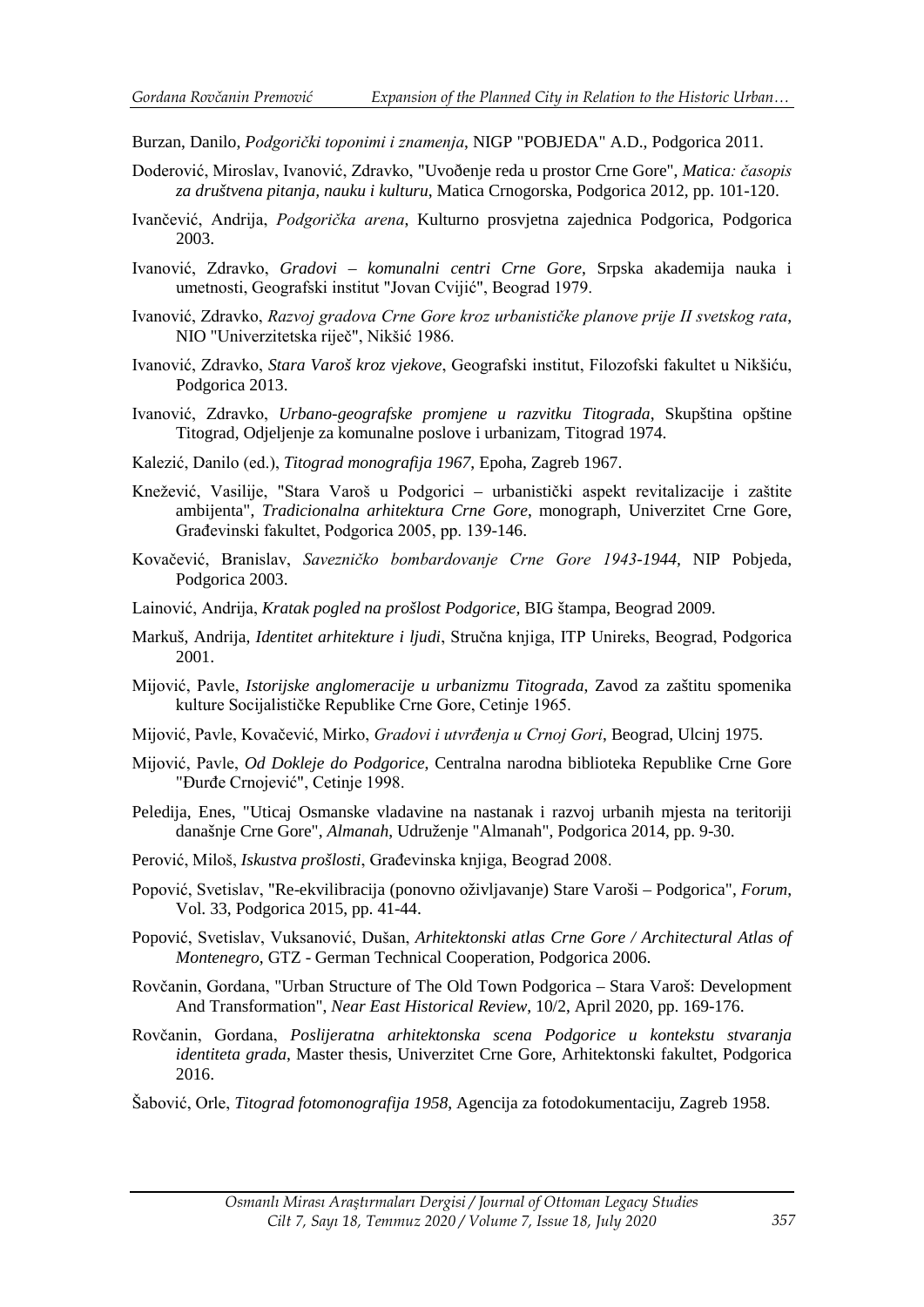Burzan, Danilo, *Podgorički toponimi i znamenja*, NIGP "POBJEDA" A.D., Podgorica 2011.

- Doderović, Miroslav, Ivanović, Zdravko, "Uvoðenje reda u prostor Crne Gore", *Matica: časopis za društvena pitanja, nauku i kulturu*, Matica Crnogorska, Podgorica 2012, pp. 101-120.
- Ivančević, Andrija, *Podgorička arena*, Kulturno prosvjetna zajednica Podgorica, Podgorica 2003.
- Ivanović, Zdravko, *Gradovi komunalni centri Crne Gore*, Srpska akademija nauka i umetnosti, Geografski institut "Jovan Cvijić", Beograd 1979.
- Ivanović, Zdravko, *Razvoj gradova Crne Gore kroz urbanističke planove prije II svetskog rata*, NIO "Univerzitetska riječ", Nikšić 1986.
- Ivanović, Zdravko, *Stara Varoš kroz vjekove*, Geografski institut, Filozofski fakultet u Nikšiću, Podgorica 2013.
- Ivanović, Zdravko, *Urbano-geografske promjene u razvitku Titograda*, Skupština opštine Titograd, Odjeljenje za komunalne poslove i urbanizam, Titograd 1974.
- Kalezić, Danilo (ed.), *Titograd monografija 1967*, Epoha, Zagreb 1967.
- Knežević, Vasilije, "Stara Varoš u Podgorici urbanistički aspekt revitalizacije i zaštite ambijenta", *Tradicionalna arhitektura Crne Gore*, monograph, Univerzitet Crne Gore, Građevinski fakultet, Podgorica 2005, pp. 139-146.
- Kovačević, Branislav, *Savezničko bombardovanje Crne Gore 1943-1944,* NIP Pobjeda, Podgorica 2003.
- Lainović, Andrija, *Kratak pogled na prošlost Podgorice,* BIG štampa, Beograd 2009.
- Markuš, Andrija, *Identitet arhitekture i ljudi*, Stručna knjiga, ITP Unireks, Beograd, Podgorica 2001.
- Mijović, Pavle, *Istorijske anglomeracije u urbanizmu Titograda*, Zavod za zaštitu spomenika kulture Socijalističke Republike Crne Gore, Cetinje 1965.
- Mijović, Pavle, Kovačević, Mirko, *Gradovi i utvrđenja u Crnoj Gori*, Beograd, Ulcinj 1975.
- Mijović, Pavle, *Od Dokleje do Podgorice*, Centralna narodna biblioteka Republike Crne Gore "Đurđe Crnojević", Cetinje 1998.
- Peledija, Enes, "Uticaj Osmanske vladavine na nastanak i razvoj urbanih mjesta na teritoriji današnje Crne Gore", *Almanah*, Udruženje "Almanah", Podgorica 2014, pp. 9-30.
- Perović, Miloš, *Iskustva prošlosti*, Građevinska knjiga, Beograd 2008.
- Popović, Svetislav, "Re-ekvilibracija (ponovno oživljavanje) Stare Varoši Podgorica", *Forum*, Vol. 33, Podgorica 2015, pp. 41-44.
- Popović, Svetislav, Vuksanović, Dušan, *Arhitektonski atlas Crne Gore / Architectural Atlas of Montenegro*, GTZ - German Technical Cooperation, Podgorica 2006.
- Rovčanin, Gordana, "Urban Structure of The Old Town Podgorica Stara Varoš: Development And Transformation", *Near East Historical Review*, 10/2, April 2020, pp. 169-176.
- Rovčanin, Gordana, *Poslijeratna arhitektonska scena Podgorice u kontekstu stvaranja identiteta grada*, Master thesis, Univerzitet Crne Gore, Arhitektonski fakultet, Podgorica 2016.
- Šabović, Orle, *Titograd fotomonografija 1958*, Agencija za fotodokumentaciju, Zagreb 1958.